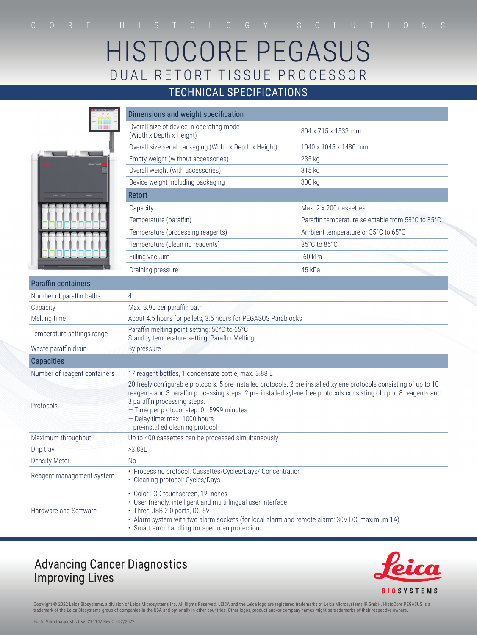# HISTOCORE PEGASUS DUAL RETORT TISSUE PROCESSOR

### TECHNICAL SPECIFICATIONS

|                              | Dimensions and weight specification                                                                                                                                                                                                                                                                                                                                                            |                                                   |
|------------------------------|------------------------------------------------------------------------------------------------------------------------------------------------------------------------------------------------------------------------------------------------------------------------------------------------------------------------------------------------------------------------------------------------|---------------------------------------------------|
| 18188188<br><b>TEETEE</b>    | Overall size of device in operating mode<br>(Width x Depth x Height)                                                                                                                                                                                                                                                                                                                           | 804 x 715 x 1533 mm                               |
|                              | Overall size serial packaging (Width x Depth x Height)                                                                                                                                                                                                                                                                                                                                         | 1040 x 1045 x 1480 mm                             |
|                              | Empty weight (without accessories)                                                                                                                                                                                                                                                                                                                                                             | 235 kg                                            |
|                              | Overall weight (with accessories)                                                                                                                                                                                                                                                                                                                                                              | 315 kg                                            |
|                              | Device weight including packaging                                                                                                                                                                                                                                                                                                                                                              | 300 kg                                            |
|                              | <b>Retort</b>                                                                                                                                                                                                                                                                                                                                                                                  |                                                   |
|                              | Capacity                                                                                                                                                                                                                                                                                                                                                                                       | Max. 2 x 200 cassettes                            |
|                              | Temperature (paraffin)                                                                                                                                                                                                                                                                                                                                                                         | Paraffin temperature selectable from 58°C to 85°C |
|                              | Temperature (processing reagents)                                                                                                                                                                                                                                                                                                                                                              | Ambient temperature or 35°C to 65°C               |
|                              | Temperature (cleaning reagents)                                                                                                                                                                                                                                                                                                                                                                | 35°C to 85°C                                      |
|                              | Filling vacuum                                                                                                                                                                                                                                                                                                                                                                                 | $-60$ kPa                                         |
|                              | Draining pressure                                                                                                                                                                                                                                                                                                                                                                              | 45 kPa                                            |
| <b>Paraffin containers</b>   |                                                                                                                                                                                                                                                                                                                                                                                                |                                                   |
| Number of paraffin baths     | 4                                                                                                                                                                                                                                                                                                                                                                                              |                                                   |
| Capacity                     | Max. 3.9L per paraffin bath                                                                                                                                                                                                                                                                                                                                                                    |                                                   |
| Melting time                 | About 4.5 hours for pellets, 3.5 hours for PEGASUS Parablocks                                                                                                                                                                                                                                                                                                                                  |                                                   |
| Temperature settings range   | Paraffin melting point setting: 50°C to 65°C<br>Standby temperature setting: Paraffin Melting                                                                                                                                                                                                                                                                                                  |                                                   |
| Waste paraffin drain         | By pressure                                                                                                                                                                                                                                                                                                                                                                                    |                                                   |
| <b>Capacities</b>            |                                                                                                                                                                                                                                                                                                                                                                                                |                                                   |
| Number of reagent containers | 17 reagent bottles, 1 condensate bottle, max. 3.88 L                                                                                                                                                                                                                                                                                                                                           |                                                   |
| Protocols                    | 20 freely configurable protocols. 5 pre-installed protocols. 2 pre-installed xylene protocols consisting of up to 10<br>reagents and 3 paraffin processing steps. 2 pre-installed xylene-free protocols consisting of up to 8 reagents and<br>3 paraffin processing steps.<br>- Time per protocol step: 0 - 5999 minutes<br>- Delay time: max. 1000 hours<br>1 pre-installed cleaning protocol |                                                   |
| Maximum throughput           | Up to 400 cassettes can be processed simultaneously                                                                                                                                                                                                                                                                                                                                            |                                                   |
| Drip tray                    | >3.88L                                                                                                                                                                                                                                                                                                                                                                                         |                                                   |
| <b>Density Meter</b>         | No                                                                                                                                                                                                                                                                                                                                                                                             |                                                   |
| Reagent management system    | • Processing protocol: Cassettes/Cycles/Days/ Concentration<br>• Cleaning protocol: Cycles/Days                                                                                                                                                                                                                                                                                                |                                                   |
| Hardware and Software        | • Color LCD touchscreen, 12 inches<br>• User-friendly, intelligent and multi-lingual user interface<br>• Three USB 2.0 ports, DC 5V<br>· Alarm system with two alarm sockets (for local alarm and remote alarm: 30V DC, maximum 1A)<br>• Smart error handling for specimen protection                                                                                                          |                                                   |

## **Advancing Cancer Diagnostics Improving Lives**



Copyright © 2022 Leica Biosystems, a division of Leica Microsystems Inc. All Rights Reserved. LEICA and the Leica logo are registered trademarks of Leica Microsystems IR GmbH. HistoCore PEGASUS is a<br>trademark of the Leica